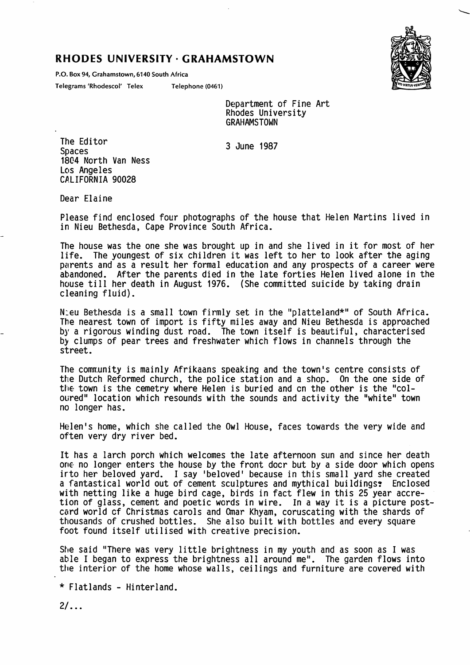## RHODES UNIVERSITY · GRAHAMSTOWN

P.O. Box 94, Grahamstown, 6140 South Africa

Telegrams 'Rhodescol' Telex Telephone (0461)



Department of Fine Art Rhodes University **GRAHAMSTOWN** 

3 June 1987

The Editor Spaces 1804 North Van Ness Los Angeles CALIFORNIA 90028

Dear Elaine

Please find enclosed four photographs of the house that Helen Martins lived in in Nieu Bethesda, Cape Province South Africa.

The house was the one she was brought up in and she lived in it for most of her life. The youngest of six children it was left to her to look after the aging parents and as a result her formal education and any prospects of a career were abandoned. After the parents died in the late forties Helen lived alone in the house till her death in August 1976. (She committed suicide by taking drain cleaning fluid).

N:eu Bethesda is a small town firmly set in the "platteland\*" of South Africa. The nearest town of import is fifty miles away and Nieu Bethesda is approached by a rigorous winding dust road. The town itself is beautiful, characterised by clumps of pear trees and freshwater which flows in channels through the street.

The community is mainly Afrikaans speaking and the town's centre consists of the Dutch Reformed church, the police station and a shop. On the one side of the town is the cemetry where Helen is buried and cn the other is the "col oured" location which resounds with the sounds and activity the "white" town no longer has.

Helen's home, which she called the Owl House, faces towards the very wide and often very dry river bed.

It has a larch porch which welcomes the late afternoon sun and since her death one no longer enters the house by the front doer but by a side door which opens into her beloved yard. I say 'beloved' because in this small yard she created a fantastical world out of cement sculptures and mythical buildings? Enclosed with netting like a huge bird cage, birds in fact flew in this 25 year accre tion of glass, cement and poetic words in wire. In a way it is a picture post card world cf Christmas carols and Omar Khyam, coruscating with the shards of thousands of crushed bottles. She also built with bottles and every square foot found itself utilised with creative precision.

She said "There was very little brightness in my youth and as soon as I was able I began to express the brightness all around me". The garden flows into the interior of the home whose walls, ceilings and furniture are covered with

 $*$  Flatlands - Hinterland.

 $2/\ldots$